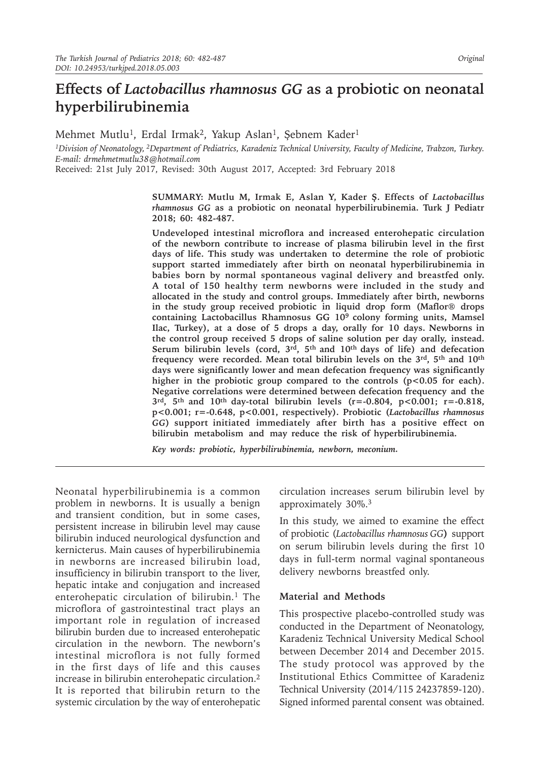# **Effects of** *Lactobacillus rhamnosus GG* **as a probiotic on neonatal hyperbilirubinemia**

Mehmet Mutlu<sup>1</sup>, Erdal Irmak<sup>2</sup>, Yakup Aslan<sup>1</sup>, Şebnem Kader<sup>1</sup>

*1Division of Neonatology, 2Department of Pediatrics, Karadeniz Technical University, Faculty of Medicine, Trabzon, Turkey. E-mail: drmehmetmutlu38@hotmail.com*

Received: 21st July 2017, Revised: 30th August 2017, Accepted: 3rd February 2018

**SUMMARY: Mutlu M, Irmak E, Aslan Y, Kader Ş. Effects of** *Lactobacillus rhamnosus GG* **as a probiotic on neonatal hyperbilirubinemia. Turk J Pediatr 2018; 60: 482-487.**

**Undeveloped intestinal microflora and increased enterohepatic circulation of the newborn contribute to increase of plasma bilirubin level in the first days of life. This study was undertaken to determine the role of probiotic support started immediately after birth on neonatal hyperbilirubinemia in babies born by normal spontaneous vaginal delivery and breastfed only. A total of 150 healthy term newborns were included in the study and allocated in the study and control groups. Immediately after birth, newborns in the study group received probiotic in liquid drop form (Maflor® drops containing Lactobacillus Rhamnosus GG 109 colony forming units, Mamsel Ilac, Turkey), at a dose of 5 drops a day, orally for 10 days. Newborns in the control group received 5 drops of saline solution per day orally, instead. Serum bilirubin levels (cord, 3rd, 5th and 10th days of life) and defecation frequency were recorded. Mean total bilirubin levels on the 3rd, 5th and 10th days were significantly lower and mean defecation frequency was significantly**  higher in the probiotic group compared to the controls (p<0.05 for each). **Negative correlations were determined between defecation frequency and the 3rd, 5th and 10th day-total bilirubin levels (r=-0.804, p<0.001; r=-0.818, p<0.001; r=-0.648, p<0.001, respectively). Probiotic (***Lactobacillus rhamnosus GG***) support initiated immediately after birth has a positive effect on bilirubin metabolism and may reduce the risk of hyperbilirubinemia.**

*Key words: probiotic, hyperbilirubinemia, newborn, meconium.*

Neonatal hyperbilirubinemia is a common problem in newborns. It is usually a benign and transient condition, but in some cases, persistent increase in bilirubin level may cause bilirubin induced neurological dysfunction and kernicterus. Main causes of hyperbilirubinemia in newborns are increased bilirubin load, insufficiency in bilirubin transport to the liver, hepatic intake and conjugation and increased enterohepatic circulation of bilirubin.<sup>1</sup> The microflora of gastrointestinal tract plays an important role in regulation of increased bilirubin burden due to increased enterohepatic circulation in the newborn. The newborn's intestinal microflora is not fully formed in the first days of life and this causes increase in bilirubin enterohepatic circulation.<sup>2</sup> It is reported that bilirubin return to the systemic circulation by the way of enterohepatic

circulation increases serum bilirubin level by approximately 30%.<sup>3</sup>

In this study, we aimed to examine the effect of probiotic (*Lactobacillus rhamnosus GG***)** support on serum bilirubin levels during the first 10 days in full-term normal vaginal spontaneous delivery newborns breastfed only.

### **Material and Methods**

This prospective placebo-controlled study was conducted in the Department of Neonatology, Karadeniz Technical University Medical School between December 2014 and December 2015. The study protocol was approved by the Institutional Ethics Committee of Karadeniz Technical University (2014/115 24237859-120). Signed informed parental consent was obtained.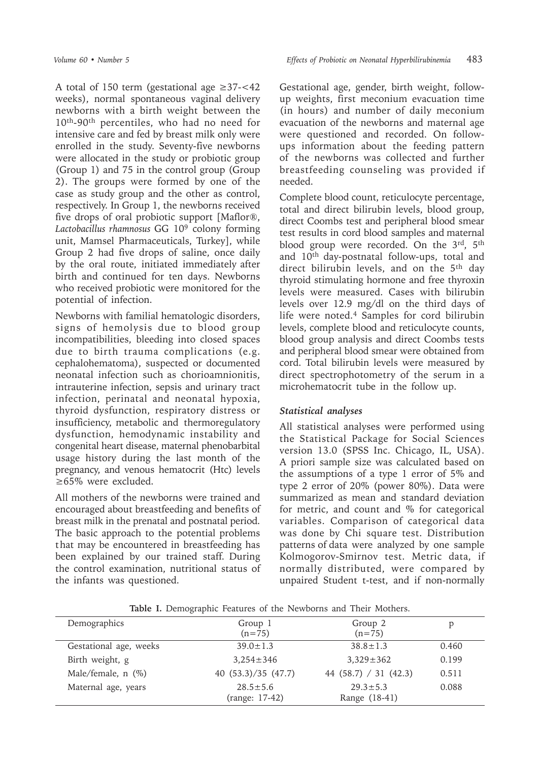A total of 150 term (gestational age ≥37-<42 weeks), normal spontaneous vaginal delivery newborns with a birth weight between the 10th-90th percentiles, who had no need for intensive care and fed by breast milk only were enrolled in the study. Seventy-five newborns were allocated in the study or probiotic group (Group 1) and 75 in the control group (Group 2). The groups were formed by one of the case as study group and the other as control, respectively. In Group 1, the newborns received five drops of oral probiotic support [Maflor®, *Lactobacillus rhamnosus* GG 109 colony forming unit, Mamsel Pharmaceuticals, Turkey], while Group 2 had five drops of saline, once daily by the oral route, initiated immediately after birth and continued for ten days. Newborns who received probiotic were monitored for the potential of infection.

Newborns with familial hematologic disorders, signs of hemolysis due to blood group incompatibilities, bleeding into closed spaces due to birth trauma complications (e.g. cephalohematoma), suspected or documented neonatal infection such as chorioamnionitis, intrauterine infection, sepsis and urinary tract infection, perinatal and neonatal hypoxia, thyroid dysfunction, respiratory distress or insufficiency, metabolic and thermoregulatory dysfunction, hemodynamic instability and congenital heart disease, maternal phenobarbital usage history during the last month of the pregnancy, and venous hematocrit (Htc) levels ≥65% were excluded.

All mothers of the newborns were trained and encouraged about breastfeeding and benefits of breast milk in the prenatal and postnatal period. The basic approach to the potential problems that may be encountered in breastfeeding has been explained by our trained staff. During the control examination, nutritional status of the infants was questioned.

Gestational age, gender, birth weight, followup weights, first meconium evacuation time (in hours) and number of daily meconium evacuation of the newborns and maternal age were questioned and recorded. On followups information about the feeding pattern of the newborns was collected and further breastfeeding counseling was provided if needed.

Complete blood count, reticulocyte percentage, total and direct bilirubin levels, blood group, direct Coombs test and peripheral blood smear test results in cord blood samples and maternal blood group were recorded. On the 3rd, 5th and 10th day-postnatal follow-ups, total and direct bilirubin levels, and on the 5<sup>th</sup> day thyroid stimulating hormone and free thyroxin levels were measured. Cases with bilirubin levels over 12.9 mg/dl on the third days of life were noted.4 Samples for cord bilirubin levels, complete blood and reticulocyte counts, blood group analysis and direct Coombs tests and peripheral blood smear were obtained from cord. Total bilirubin levels were measured by direct spectrophotometry of the serum in a microhematocrit tube in the follow up.

## *Statistical analyses*

All statistical analyses were performed using the Statistical Package for Social Sciences version 13.0 (SPSS Inc. Chicago, IL, USA). A priori sample size was calculated based on the assumptions of a type 1 error of 5% and type 2 error of 20% (power 80%). Data were summarized as mean and standard deviation for metric, and count and % for categorical variables. Comparison of categorical data was done by Chi square test. Distribution patterns of data were analyzed by one sample Kolmogorov-Smirnov test. Metric data, if normally distributed, were compared by unpaired Student t-test, and if non-normally

| Demographics           | Group 1<br>$(n=75)$              | Group 2<br>$(n=75)$           |       |
|------------------------|----------------------------------|-------------------------------|-------|
| Gestational age, weeks | $39.0 \pm 1.3$                   | $38.8 \pm 1.3$                | 0.460 |
| Birth weight, g        | $3.254 \pm 346$                  | $3.329 \pm 362$               | 0.199 |
| Male/female, $n$ (%)   | 40 $(53.3)/35$ $(47.7)$          | 44 $(58.7) / 31 (42.3)$       | 0.511 |
| Maternal age, years    | $28.5 \pm 5.6$<br>(range: 17-42) | $29.3 + 5.3$<br>Range (18-41) | 0.088 |

**Table I.** Demographic Features of the Newborns and Their Mothers.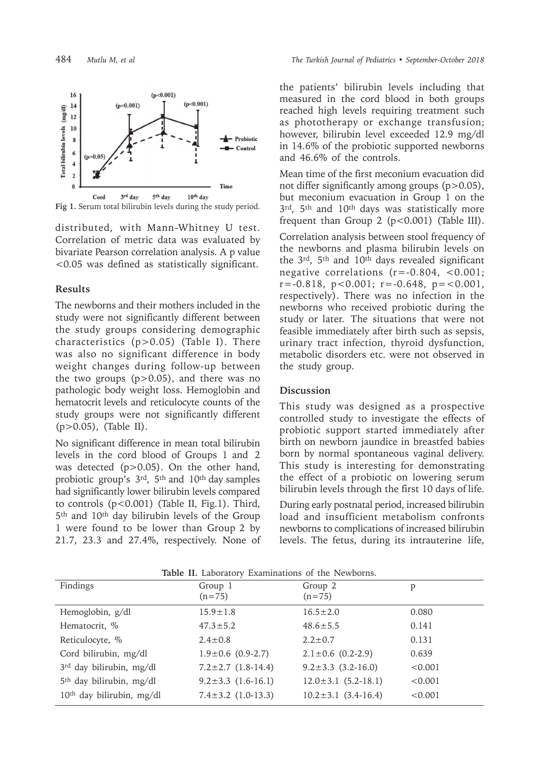

**Fig 1.** Serum total bilirubin levels during the study period.

distributed, with Mann-Whitney U test. Correlation of metric data was evaluated by bivariate Pearson correlation analysis. A p value <0.05 was defined as statistically significant.

#### **Results**

The newborns and their mothers included in the study were not significantly different between the study groups considering demographic characteristics (p>0.05) (Table I). There was also no significant difference in body weight changes during follow-up between the two groups  $(p>0.05)$ , and there was no pathologic body weight loss. Hemoglobin and hematocrit levels and reticulocyte counts of the study groups were not significantly different (p>0.05), (Table II).

No significant difference in mean total bilirubin levels in the cord blood of Groups 1 and 2 was detected (p>0.05). On the other hand, probiotic group's 3<sup>rd</sup>, 5<sup>th</sup> and 10<sup>th</sup> day samples had significantly lower bilirubin levels compared to controls (p<0.001) (Table II, Fig.1). Third, 5<sup>th</sup> and 10<sup>th</sup> day bilirubin levels of the Group 1 were found to be lower than Group 2 by 21.7, 23.3 and 27.4%, respectively. None of

the patients' bilirubin levels including that measured in the cord blood in both groups reached high levels requiring treatment such as phototherapy or exchange transfusion; however, bilirubin level exceeded 12.9 mg/dl in 14.6% of the probiotic supported newborns and 46.6% of the controls.

Mean time of the first meconium evacuation did not differ significantly among groups (p>0.05), but meconium evacuation in Group 1 on the 3rd, 5th and 10th days was statistically more frequent than Group 2 (p<0.001) (Table III).

Correlation analysis between stool frequency of the newborns and plasma bilirubin levels on the 3rd, 5th and 10th days revealed significant negative correlations  $(r=-0.804, <0.001;$  $r=-0.818$ ,  $p<0.001$ ;  $r=-0.648$ ,  $p=<0.001$ , respectively). There was no infection in the newborns who received probiotic during the study or later. The situations that were not feasible immediately after birth such as sepsis, urinary tract infection, thyroid dysfunction, metabolic disorders etc. were not observed in the study group.

#### **Discussion**

This study was designed as a prospective controlled study to investigate the effects of probiotic support started immediately after birth on newborn jaundice in breastfed babies born by normal spontaneous vaginal delivery. This study is interesting for demonstrating the effect of a probiotic on lowering serum bilirubin levels through the first 10 days of life.

During early postnatal period, increased bilirubin load and insufficient metabolism confronts newborns to complications of increased bilirubin levels. The fetus, during its intrauterine life,

| <b>TADIC II.</b> LADOTATOLY EXAMINIBRIOUS OF THE INCWDOLITS. |                              |                           |         |  |  |  |
|--------------------------------------------------------------|------------------------------|---------------------------|---------|--|--|--|
| Findings                                                     | Group 1<br>$(n=75)$          | Group 2<br>$(n=75)$       | p       |  |  |  |
|                                                              |                              |                           |         |  |  |  |
| Hemoglobin, g/dl                                             | $15.9 \pm 1.8$               | $16.5 \pm 2.0$            | 0.080   |  |  |  |
| Hematocrit, %                                                | $47.3 \pm 5.2$               | $48.6 \pm 5.5$            | 0.141   |  |  |  |
| Reticulocyte, %                                              | $2.4 \pm 0.8$                | $2.2 \pm 0.7$             | 0.131   |  |  |  |
| Cord bilirubin, mg/dl                                        | $1.9 \pm 0.6$ (0.9-2.7)      | $2.1 \pm 0.6$ (0.2-2.9)   | 0.639   |  |  |  |
| 3rd day bilirubin, mg/dl                                     | $7.2 \pm 2.7$ $(1.8 - 14.4)$ | $9.2 \pm 3.3$ (3.2-16.0)  | < 0.001 |  |  |  |
| 5 <sup>th</sup> day bilirubin, mg/dl                         | $9.2 \pm 3.3$ $(1.6 - 16.1)$ | $12.0 \pm 3.1$ (5.2-18.1) | < 0.001 |  |  |  |
| 10 <sup>th</sup> day bilirubin, mg/dl                        | $7.4 \pm 3.2$ (1.0-13.3)     | $10.2 \pm 3.1$ (3.4-16.4) | < 0.001 |  |  |  |
|                                                              |                              |                           |         |  |  |  |

**Table II.** Laboratory Examinations of the Newborns.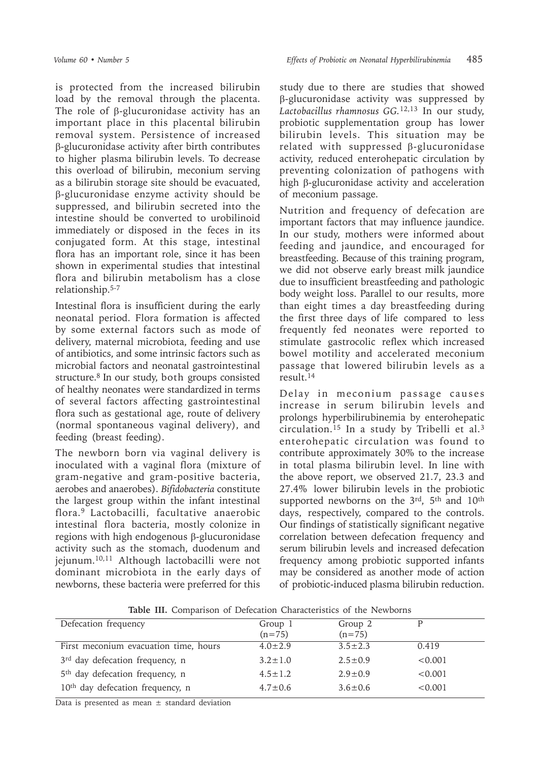is protected from the increased bilirubin load by the removal through the placenta. The role of β-glucuronidase activity has an important place in this placental bilirubin removal system. Persistence of increased β-glucuronidase activity after birth contributes to higher plasma bilirubin levels. To decrease this overload of bilirubin, meconium serving as a bilirubin storage site should be evacuated, β-glucuronidase enzyme activity should be suppressed, and bilirubin secreted into the intestine should be converted to urobilinoid immediately or disposed in the feces in its conjugated form. At this stage, intestinal flora has an important role, since it has been shown in experimental studies that intestinal flora and bilirubin metabolism has a close relationship.5-7

Intestinal flora is insufficient during the early neonatal period. Flora formation is affected by some external factors such as mode of delivery, maternal microbiota, feeding and use of antibiotics, and some intrinsic factors such as microbial factors and neonatal gastrointestinal structure.8 In our study, both groups consisted of healthy neonates were standardized in terms of several factors affecting gastrointestinal flora such as gestational age, route of delivery (normal spontaneous vaginal delivery), and feeding (breast feeding).

The newborn born via vaginal delivery is inoculated with a vaginal flora (mixture of gram-negative and gram-positive bacteria, aerobes and anaerobes). *Bifidobacteria* constitute the largest group within the infant intestinal flora.9 Lactobacilli, facultative anaerobic intestinal flora bacteria, mostly colonize in regions with high endogenous β-glucuronidase activity such as the stomach, duodenum and jejunum.10,11 Although lactobacilli were not dominant microbiota in the early days of newborns, these bacteria were preferred for this

study due to there are studies that showed β-glucuronidase activity was suppressed by *Lactobacillus rhamnosus GG.*12,13 In our study, probiotic supplementation group has lower bilirubin levels. This situation may be related with suppressed β-glucuronidase activity, reduced enterohepatic circulation by preventing colonization of pathogens with high β-glucuronidase activity and acceleration of meconium passage.

Nutrition and frequency of defecation are important factors that may influence jaundice. In our study, mothers were informed about feeding and jaundice, and encouraged for breastfeeding. Because of this training program, we did not observe early breast milk jaundice due to insufficient breastfeeding and pathologic body weight loss. Parallel to our results, more than eight times a day breastfeeding during the first three days of life compared to less frequently fed neonates were reported to stimulate gastrocolic reflex which increased bowel motility and accelerated meconium passage that lowered bilirubin levels as a result.<sup>14</sup>

Delay in meconium passage causes increase in serum bilirubin levels and prolongs hyperbilirubinemia by enterohepatic circulation.<sup>15</sup> In a study by Tribelli et al.<sup>3</sup> enterohepatic circulation was found to contribute approximately 30% to the increase in total plasma bilirubin level. In line with the above report, we observed 21.7, 23.3 and 27.4% lower bilirubin levels in the probiotic supported newborns on the 3rd, 5th and 10th days, respectively, compared to the controls. Our findings of statistically significant negative correlation between defecation frequency and serum bilirubin levels and increased defecation frequency among probiotic supported infants may be considered as another mode of action of probiotic-induced plasma bilirubin reduction.

| Defecation frequency                         | Group 1<br>$(n=75)$ | Group 2<br>$(n=75)$ |         |
|----------------------------------------------|---------------------|---------------------|---------|
| First meconium evacuation time, hours        | $4.0 \pm 2.9$       | $3.5 \pm 2.3$       | 0.419   |
| 3 <sup>rd</sup> day defecation frequency, n  | $3.2 \pm 1.0$       | $2.5 + 0.9$         | < 0.001 |
| 5 <sup>th</sup> day defecation frequency, n  | $4.5 \pm 1.2$       | $2.9 + 0.9$         | < 0.001 |
| 10 <sup>th</sup> day defecation frequency, n | $4.7 \pm 0.6$       | $3.6 \pm 0.6$       | < 0.001 |

**Table III.** Comparison of Defecation Characteristics of the Newborns

Data is presented as mean  $\pm$  standard deviation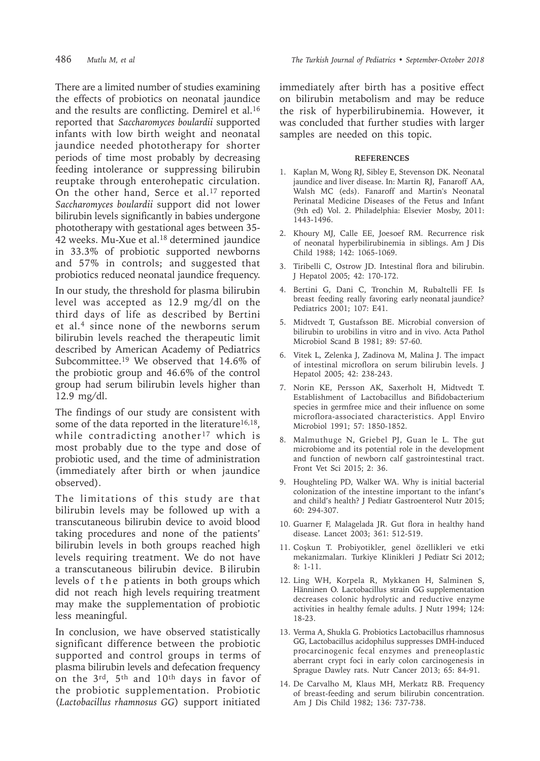There are a limited number of studies examining the effects of probiotics on neonatal jaundice and the results are conflicting. Demirel et al.<sup>16</sup> reported that *Saccharomyces boulardii* supported infants with low birth weight and neonatal jaundice needed phototherapy for shorter periods of time most probably by decreasing feeding intolerance or suppressing bilirubin reuptake through enterohepatic circulation. On the other hand, Serce et al.<sup>17</sup> reported *Saccharomyces boulardii* support did not lower bilirubin levels significantly in babies undergone phototherapy with gestational ages between 35-  $42$  weeks. Mu-Xue et al.<sup>18</sup> determined jaundice in 33.3% of probiotic supported newborns and 57% in controls; and suggested that probiotics reduced neonatal jaundice frequency.

In our study, the threshold for plasma bilirubin level was accepted as 12.9 mg/dl on the third days of life as described by Bertini et al.<sup>4</sup> since none of the newborns serum bilirubin levels reached the therapeutic limit described by American Academy of Pediatrics Subcommittee.19 We observed that 14.6% of the probiotic group and 46.6% of the control group had serum bilirubin levels higher than 12.9 mg/dl.

The findings of our study are consistent with some of the data reported in the literature<sup>16,18</sup>, while contradicting another<sup>17</sup> which is most probably due to the type and dose of probiotic used, and the time of administration (immediately after birth or when jaundice observed).

The limitations of this study are that bilirubin levels may be followed up with a transcutaneous bilirubin device to avoid blood taking procedures and none of the patients' bilirubin levels in both groups reached high levels requiring treatment. We do not have a transcutaneous bilirubin device. B ilirubin levels of the patients in both groups which did not reach high levels requiring treatment may make the supplementation of probiotic less meaningful.

In conclusion, we have observed statistically significant difference between the probiotic supported and control groups in terms of plasma bilirubin levels and defecation frequency on the 3<sup>rd</sup>, 5<sup>th</sup> and 10<sup>th</sup> days in favor of the probiotic supplementation. Probiotic (*Lactobacillus rhamnosus GG*) support initiated

immediately after birth has a positive effect on bilirubin metabolism and may be reduce the risk of hyperbilirubinemia. However, it was concluded that further studies with larger samples are needed on this topic.

#### **REFERENCES**

- 1. Kaplan M, Wong RJ, Sibley E, Stevenson DK. Neonatal jaundice and liver disease. In: Martin RJ, Fanaroff AA, Walsh MC (eds). Fanaroff and Martin's Neonatal Perinatal Medicine Diseases of the Fetus and Infant (9th ed) Vol. 2. Philadelphia: Elsevier Mosby, 2011: 1443-1496.
- 2. Khoury MJ, Calle EE, Joesoef RM. Recurrence risk of neonatal hyperbilirubinemia in siblings. Am J Dis Child 1988; 142: 1065-1069.
- 3. Tiribelli C, Ostrow JD. Intestinal flora and bilirubin. J Hepatol 2005; 42: 170-172.
- 4. Bertini G, Dani C, Tronchin M, Rubaltelli FF. Is breast feeding really favoring early neonatal jaundice? Pediatrics 2001; 107: E41.
- 5. Midtvedt T, Gustafsson BE. Microbial conversion of bilirubin to urobilins in vitro and in vivo. Acta Pathol Microbiol Scand B 1981; 89: 57-60.
- 6. Vitek L, Zelenka J, Zadinova M, Malina J. The impact of intestinal microflora on serum bilirubin levels. J Hepatol 2005; 42: 238-243.
- 7. Norin KE, Persson AK, Saxerholt H, Midtvedt T. Establishment of Lactobacillus and Bifidobacterium species in germfree mice and their influence on some microflora-associated characteristics. Appl Enviro Microbiol 1991; 57: 1850-1852.
- 8. Malmuthuge N, Griebel PJ, Guan le L. The gut microbiome and its potential role in the development and function of newborn calf gastrointestinal tract. Front Vet Sci 2015; 2: 36.
- 9. Houghteling PD, Walker WA. Why is initial bacterial colonization of the intestine important to the infant's and child's health? J Pediatr Gastroenterol Nutr 2015; 60: 294-307.
- 10. Guarner F, Malagelada JR. Gut flora in healthy hand disease. Lancet 2003; 361: 512-519.
- 11. Coşkun T. Probiyotikler, genel özellikleri ve etki mekanizmaları. Turkiye Klinikleri J Pediatr Sci 2012; 8: 1-11.
- 12. Ling WH, Korpela R, Mykkanen H, Salminen S, Hänninen O. Lactobacillus strain GG supplementation decreases colonic hydrolytic and reductive enzyme activities in healthy female adults. J Nutr 1994; 124: 18-23.
- 13. Verma A, Shukla G. Probiotics Lactobacillus rhamnosus GG, Lactobacillus acidophilus suppresses DMH-induced procarcinogenic fecal enzymes and preneoplastic aberrant crypt foci in early colon carcinogenesis in Sprague Dawley rats. Nutr Cancer 2013; 65: 84-91.
- 14. De Carvalho M, Klaus MH, Merkatz RB. Frequency of breast-feeding and serum bilirubin concentration. Am J Dis Child 1982; 136: 737-738.